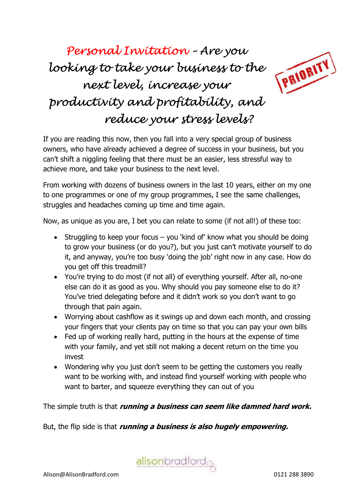# Personal Invitation – Are you looking to take your business to the next level, increase your productivity and profitability, and reduce your stress levels?



If you are reading this now, then you fall into a very special group of business owners, who have already achieved a degree of success in your business, but you can't shift a niggling feeling that there must be an easier, less stressful way to achieve more, and take your business to the next level.

From working with dozens of business owners in the last 10 years, either on my one to one programmes or one of my group programmes, I see the same challenges, struggles and headaches coming up time and time again.

Now, as unique as you are, I bet you can relate to some (if not all!) of these too:

- Struggling to keep your focus you 'kind of' know what you should be doing to grow your business (or do you?), but you just can't motivate yourself to do it, and anyway, you're too busy 'doing the job' right now in any case. How do you get off this treadmill?
- You're trying to do most (if not all) of everything yourself. After all, no-one else can do it as good as you. Why should you pay someone else to do it? You've tried delegating before and it didn't work so you don't want to go through that pain again.
- Worrying about cashflow as it swings up and down each month, and crossing your fingers that your clients pay on time so that you can pay your own bills
- Fed up of working really hard, putting in the hours at the expense of time with your family, and yet still not making a decent return on the time you invest
- Wondering why you just don't seem to be getting the customers you really want to be working with, and instead find yourself working with people who want to barter, and squeeze everything they can out of you

The simple truth is that *running a business can seem like damned hard work.* 

But, the flip side is that *running a business is also hugely empowering.* 

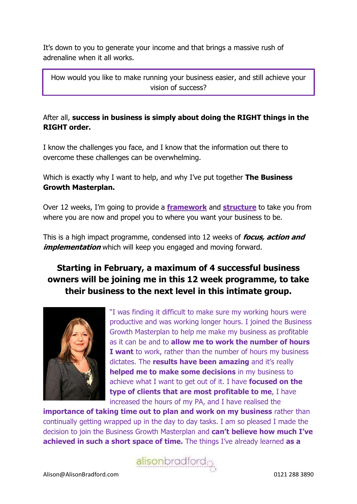It's down to you to generate your income and that brings a massive rush of adrenaline when it all works.

How would you like to make running your business easier, and still achieve your vision of success?

#### After all, success in business is simply about doing the RIGHT things in the RIGHT order.

I know the challenges you face, and I know that the information out there to overcome these challenges can be overwhelming.

Which is exactly why I want to help, and why I've put together The Business Growth Masterplan.

Over 12 weeks, I'm going to provide a **framework** and **structure** to take you from where you are now and propel you to where you want your business to be.

This is a high impact programme, condensed into 12 weeks of **focus, action and** *implementation* which will keep you engaged and moving forward.

# Starting in February, a maximum of 4 successful business owners will be joining me in this 12 week programme, to take their business to the next level in this intimate group.



"I was finding it difficult to make sure my working hours were productive and was working longer hours. I joined the Business Growth Masterplan to help me make my business as profitable as it can be and to allow me to work the number of hours I want to work, rather than the number of hours my business dictates. The **results have been amazing** and it's really helped me to make some decisions in my business to achieve what I want to get out of it. I have **focused on the** type of clients that are most profitable to me, I have increased the hours of my PA, and I have realised the

importance of taking time out to plan and work on my business rather than continually getting wrapped up in the day to day tasks. I am so pleased I made the decision to join the Business Growth Masterplan and can't believe how much I've achieved in such a short space of time. The things I've already learned as a

alisonbradford<sub>;</sub>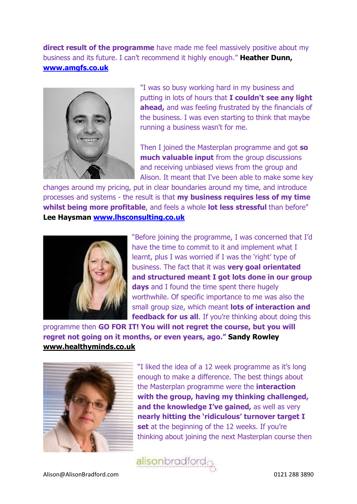direct result of the programme have made me feel massively positive about my business and its future. I can't recommend it highly enough." Heather Dunn, www.amgfs.co.uk



"I was so busy working hard in my business and putting in lots of hours that I couldn't see any light ahead, and was feeling frustrated by the financials of the business. I was even starting to think that maybe running a business wasn't for me.

Then I joined the Masterplan programme and got so much valuable input from the group discussions and receiving unbiased views from the group and Alison. It meant that I've been able to make some key

changes around my pricing, put in clear boundaries around my time, and introduce processes and systems - the result is that my business requires less of my time whilst being more profitable, and feels a whole lot less stressful than before" Lee Haysman www.lhsconsulting.co.uk



"Before joining the programme, I was concerned that I'd have the time to commit to it and implement what I learnt, plus I was worried if I was the 'right' type of business. The fact that it was very goal orientated and structured meant I got lots done in our group days and I found the time spent there hugely worthwhile. Of specific importance to me was also the small group size, which meant lots of interaction and feedback for us all. If you're thinking about doing this

programme then GO FOR IT! You will not regret the course, but you will regret not going on it months, or even years, ago." Sandy Rowley www.healthyminds.co.uk



"I liked the idea of a 12 week programme as it's long enough to make a difference. The best things about the Masterplan programme were the *interaction* with the group, having my thinking challenged, and the knowledge I've gained, as well as very nearly hitting the 'ridiculous' turnover target I set at the beginning of the 12 weeks. If you're thinking about joining the next Masterplan course then

alisonbradford<sub>i</sub>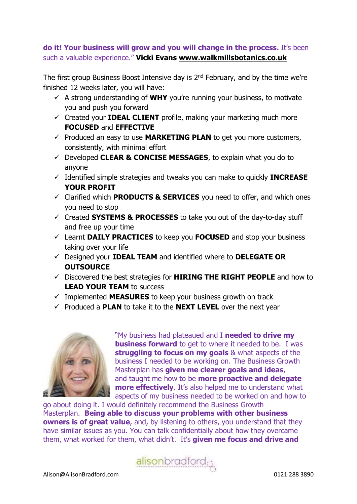#### do it! Your business will grow and you will change in the process. It's been such a valuable experience." Vicki Evans www.walkmillsbotanics.co.uk

The first group Business Boost Intensive day is 2<sup>nd</sup> February, and by the time we're finished 12 weeks later, you will have:

- $\checkmark$  A strong understanding of WHY you're running your business, to motivate you and push you forward
- $\checkmark$  Created your IDEAL CLIENT profile, making your marketing much more FOCUSED and EFFECTIVE
- $\checkmark$  Produced an easy to use **MARKETING PLAN** to get you more customers, consistently, with minimal effort
- $\checkmark$  Developed CLEAR & CONCISE MESSAGES, to explain what you do to anyone
- $\checkmark$  Identified simple strategies and tweaks you can make to quickly **INCREASE** YOUR PROFIT
- $\checkmark$  Clarified which **PRODUCTS & SERVICES** you need to offer, and which ones you need to stop
- $\checkmark$  Created SYSTEMS & PROCESSES to take you out of the day-to-day stuff and free up your time
- $\checkmark$  Learnt DAILY PRACTICES to keep you FOCUSED and stop your business taking over your life
- $\checkmark$  Designed your **IDEAL TEAM** and identified where to **DELEGATE OR OUTSOURCE**
- $\checkmark$  Discovered the best strategies for **HIRING THE RIGHT PEOPLE** and how to LEAD YOUR TEAM to success
- $\checkmark$  Implemented **MEASURES** to keep your business growth on track
- $\checkmark$  Produced a **PLAN** to take it to the **NEXT LEVEL** over the next year



"My business had plateaued and I needed to drive my **business forward** to get to where it needed to be. I was struggling to focus on my goals & what aspects of the business I needed to be working on. The Business Growth Masterplan has given me clearer goals and ideas, and taught me how to be **more proactive and delegate more effectively.** It's also helped me to understand what aspects of my business needed to be worked on and how to

go about doing it. I would definitely recommend the Business Growth Masterplan. Being able to discuss your problems with other business **owners is of great value**, and, by listening to others, you understand that they have similar issues as you. You can talk confidentially about how they overcame them, what worked for them, what didn't. It's given me focus and drive and

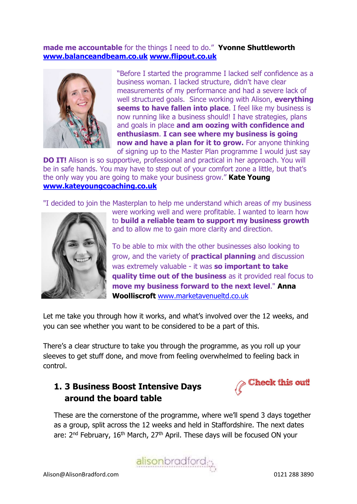#### made me accountable for the things I need to do." Yvonne Shuttleworth www.balanceandbeam.co.uk www.flipout.co.uk



"Before I started the programme I lacked self confidence as a business woman. I lacked structure, didn't have clear measurements of my performance and had a severe lack of well structured goals. Since working with Alison, everything seems to have fallen into place. I feel like my business is now running like a business should! I have strategies, plans and goals in place and am oozing with confidence and enthusiasm. I can see where my business is going now and have a plan for it to grow. For anyone thinking of signing up to the Master Plan programme I would just say

**DO IT!** Alison is so supportive, professional and practical in her approach. You will be in safe hands. You may have to step out of your comfort zone a little, but that's the only way you are going to make your business grow." **Kate Young** www.kateyoungcoaching.co.uk

"I decided to join the Masterplan to help me understand which areas of my business



were working well and were profitable. I wanted to learn how to build a reliable team to support my business growth and to allow me to gain more clarity and direction.

To be able to mix with the other businesses also looking to grow, and the variety of **practical planning** and discussion was extremely valuable - it was so important to take quality time out of the business as it provided real focus to move my business forward to the next level." Anna Woolliscroft www.marketavenueltd.co.uk

Let me take you through how it works, and what's involved over the 12 weeks, and you can see whether you want to be considered to be a part of this.

There's a clear structure to take you through the programme, as you roll up your sleeves to get stuff done, and move from feeling overwhelmed to feeling back in control.

# 1. 3 Business Boost Intensive Days around the board table



These are the cornerstone of the programme, where we'll spend 3 days together as a group, split across the 12 weeks and held in Staffordshire. The next dates are: 2<sup>nd</sup> February, 16<sup>th</sup> March, 27<sup>th</sup> April. These days will be focused ON your

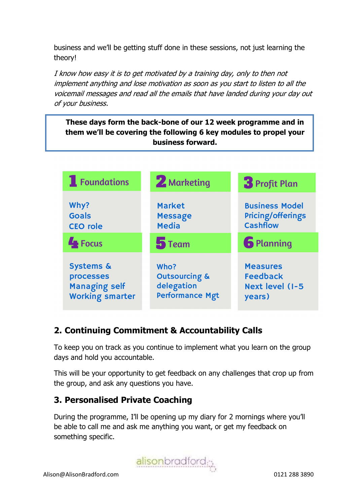business and we'll be getting stuff done in these sessions, not just learning the theory!

I know how easy it is to get motivated by a training day, only to then not implement anything and lose motivation as soon as you start to listen to all the voicemail messages and read all the emails that have landed during your day out of your business.

These days form the back-bone of our 12 week programme and in them we'll be covering the following 6 key modules to propel your business forward.



# 2. Continuing Commitment & Accountability Calls

To keep you on track as you continue to implement what you learn on the group days and hold you accountable.

This will be your opportunity to get feedback on any challenges that crop up from the group, and ask any questions you have.

## 3. Personalised Private Coaching

During the programme, I'll be opening up my diary for 2 mornings where you'll be able to call me and ask me anything you want, or get my feedback on something specific.

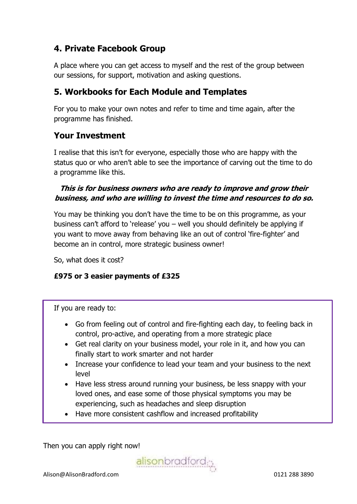# 4. Private Facebook Group

A place where you can get access to myself and the rest of the group between our sessions, for support, motivation and asking questions.

# 5. Workbooks for Each Module and Templates

For you to make your own notes and refer to time and time again, after the programme has finished.

## Your Investment

I realise that this isn't for everyone, especially those who are happy with the status quo or who aren't able to see the importance of carving out the time to do a programme like this.

## This is for business owners who are ready to improve and grow their business, and who are willing to invest the time and resources to do so.

You may be thinking you don't have the time to be on this programme, as your business can't afford to 'release' you – well you should definitely be applying if you want to move away from behaving like an out of control 'fire-fighter' and become an in control, more strategic business owner!

So, what does it cost?

#### £975 or 3 easier payments of £325

If you are ready to:

- Go from feeling out of control and fire-fighting each day, to feeling back in control, pro-active, and operating from a more strategic place
- Get real clarity on your business model, your role in it, and how you can finally start to work smarter and not harder
- Increase your confidence to lead your team and your business to the next level
- Have less stress around running your business, be less snappy with your loved ones, and ease some of those physical symptoms you may be experiencing, such as headaches and sleep disruption
- Have more consistent cashflow and increased profitability

Then you can apply right now!